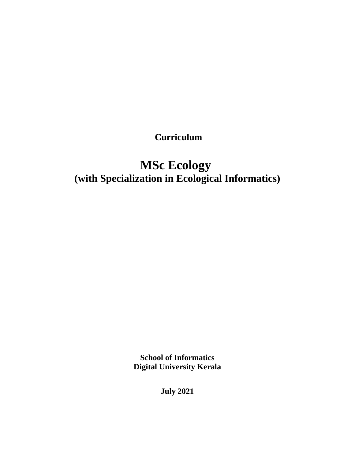**Curriculum**

# **MSc Ecology (with Specialization in Ecological Informatics)**

**School of Informatics Digital University Kerala**

**July 2021**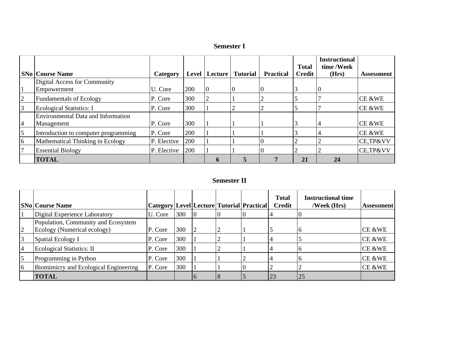| <b>Semester I</b> |
|-------------------|
|-------------------|

|                 | <b>SNo Course Name</b>               |             |     | Level   Lecture | <b>Tutorial</b> | <b>Practical</b> | <b>Total</b><br><b>Credit</b> | <b>Instructional</b><br>time /Week<br>(Hrs) |                   |
|-----------------|--------------------------------------|-------------|-----|-----------------|-----------------|------------------|-------------------------------|---------------------------------------------|-------------------|
|                 |                                      | Category    |     |                 |                 |                  |                               |                                             | <b>Assessment</b> |
|                 | Digital Access for Community         |             |     |                 |                 |                  |                               |                                             |                   |
|                 | Empowerment                          | U. Core     | 200 | 10              | 10              |                  |                               |                                             |                   |
| $\overline{2}$  | Fundamentals of Ecology              | P. Core     | 300 | $\overline{2}$  |                 |                  |                               |                                             | CE &WE            |
| 3               | <b>Ecological Statistics: I</b>      | P. Core     | 300 |                 |                 |                  |                               |                                             | CE &WE            |
|                 | Environmental Data and Information   |             |     |                 |                 |                  |                               |                                             |                   |
| $\vert 4 \vert$ | Management                           | P. Core     | 300 |                 |                 |                  |                               |                                             | CE &WE            |
| 5               | Introduction to computer programming | P. Core     | 200 |                 |                 |                  |                               |                                             | CE &WE            |
| 6               | Mathematical Thinking in Ecology     | P. Elective | 200 |                 |                 |                  |                               |                                             | CE,TP&VV          |
|                 | <b>Essential Biology</b>             | P. Elective | 200 |                 |                 |                  |                               |                                             | CE, TP&VV         |
|                 | <b>TOTAL</b>                         |             |     |                 |                 |                  | 21                            | 24                                          |                   |

#### **Semester II**

|                | <b>SNo Course Name</b>                                             | Category   Level   Lecture   Tutorial   Practical |     |  | <b>Total</b><br><b>Credit</b> | <b>Instructional time</b><br>/Week (Hrs) | <b>Assessment</b> |
|----------------|--------------------------------------------------------------------|---------------------------------------------------|-----|--|-------------------------------|------------------------------------------|-------------------|
|                | Digital Experience Laboratory                                      | U. Core                                           | 300 |  |                               |                                          |                   |
| $\overline{2}$ | Population, Community and Ecosystem<br>Ecology (Numerical ecology) | P. Core                                           | 300 |  |                               |                                          | $CE$ &WE          |
|                | Spatial Ecology I                                                  | P. Core                                           | 300 |  |                               |                                          | $CE$ &WE          |
| $\overline{4}$ | <b>Ecological Statistics: II</b>                                   | P. Core                                           | 300 |  |                               |                                          | $CE$ &WE          |
| 5              | Programming in Python                                              | P. Core                                           | 300 |  |                               |                                          | $CE$ &WE          |
| 6              | Biomimicry and Ecological Engineering                              | P. Core                                           | 300 |  |                               |                                          | CE &WE            |
|                | <b>TOTAL</b>                                                       |                                                   |     |  | 23                            | 25                                       |                   |